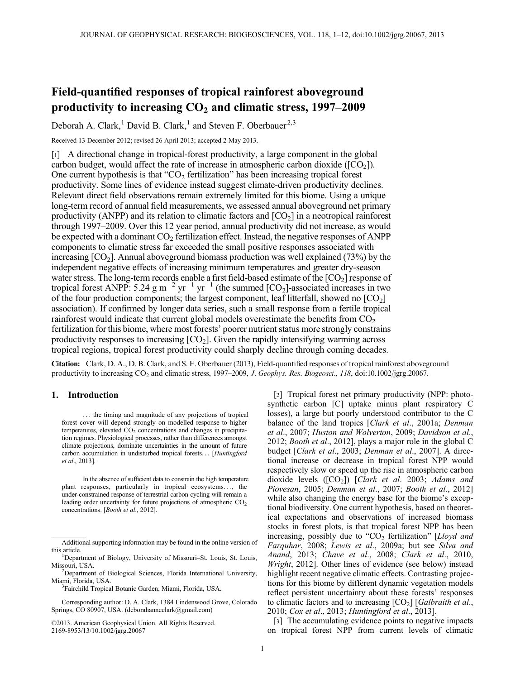# Field-quantified responses of tropical rainforest aboveground productivity to increasing  $CO<sub>2</sub>$  and climatic stress, 1997–2009

Deborah A. Clark,<sup>1</sup> David B. Clark,<sup>1</sup> and Steven F. Oberbauer<sup>2,3</sup>

Received 13 December 2012; revised 26 April 2013; accepted 2 May 2013.

[1] A directional change in tropical-forest productivity, a large component in the global carbon budget, would affect the rate of increase in atmospheric carbon dioxide ( $[CO<sub>2</sub>]$ ). One current hypothesis is that " $CO<sub>2</sub>$  fertilization" has been increasing tropical forest productivity. Some lines of evidence instead suggest climate-driven productivity declines. Relevant direct field observations remain extremely limited for this biome. Using a unique long-term record of annual field measurements, we assessed annual aboveground net primary productivity (ANPP) and its relation to climatic factors and  $[CO<sub>2</sub>]$  in a neotropical rainforest through 1997–2009. Over this 12 year period, annual productivity did not increase, as would be expected with a dominant  $CO<sub>2</sub>$  fertilization effect. Instead, the negative responses of ANPP components to climatic stress far exceeded the small positive responses associated with increasing  $[CO<sub>2</sub>]$ . Annual aboveground biomass production was well explained (73%) by the independent negative effects of increasing minimum temperatures and greater dry-season water stress. The long-term records enable a first field-based estimate of the [CO<sub>2</sub>] response of tropical forest ANPP: 5.24 g m<sup>-2</sup> yr<sup>-1</sup> yr<sup>-1</sup> (the summed  $[CO<sub>2</sub>]$ -associated increases in two of the four production components; the largest component, leaf litterfall, showed no  $[CO<sub>2</sub>]$ association). If confirmed by longer data series, such a small response from a fertile tropical rainforest would indicate that current global models overestimate the benefits from  $CO<sub>2</sub>$ fertilization for this biome, where most forests' poorer nutrient status more strongly constrains productivity responses to increasing  $[CO<sub>2</sub>]$ . Given the rapidly intensifying warming across tropical regions, tropical forest productivity could sharply decline through coming decades.

Citation: Clark, D. A., D. B. Clark, and S. F. Oberbauer (2013), Field-quantified responses of tropical rainforest aboveground productivity to increasing  $CO<sub>2</sub>$  and climatic stress, 1997–2009, J. Geophys. Res. Biogeosci., 118, doi:10.1002/jgrg.20067.

## 1. Introduction

... the timing and magnitude of any projections of tropical forest cover will depend strongly on modelled response to higher temperatures, elevated  $CO<sub>2</sub>$  concentrations and changes in precipitation regimes. Physiological processes, rather than differences amongst climate projections, dominate uncertainties in the amount of future carbon accumulation in undisturbed tropical forests... [Huntingford et al., 2013].

In the absence of sufficient data to constrain the high temperature plant responses, particularly in tropical ecosystems..., the under-constrained response of terrestrial carbon cycling will remain a leading order uncertainty for future projections of atmospheric  $CO<sub>2</sub>$ concentrations. [Booth et al., 2012].

©2013. American Geophysical Union. All Rights Reserved. 2169-8953/13/10.1002/jgrg.20067

[2] Tropical forest net primary productivity (NPP: photosynthetic carbon [C] uptake minus plant respiratory C losses), a large but poorly understood contributor to the C balance of the land tropics [Clark et al., 2001a; Denman et al., 2007; Huston and Wolverton, 2009; Davidson et al., 2012; Booth et al., 2012], plays a major role in the global C budget [Clark et al., 2003; Denman et al., 2007]. A directional increase or decrease in tropical forest NPP would respectively slow or speed up the rise in atmospheric carbon dioxide levels  $( [CO<sub>2</sub>])$  [Clark et al. 2003; Adams and Piovesan, 2005; Denman et al., 2007; Booth et al., 2012] while also changing the energy base for the biome's exceptional biodiversity. One current hypothesis, based on theoretical expectations and observations of increased biomass stocks in forest plots, is that tropical forest NPP has been increasing, possibly due to " $CO<sub>2</sub>$  fertilization" [Lloyd and Farquhar, 2008; Lewis et al., 2009a; but see Silva and Anand, 2013; Chave et al., 2008; Clark et al., 2010, Wright, 2012]. Other lines of evidence (see below) instead highlight recent negative climatic effects. Contrasting projections for this biome by different dynamic vegetation models reflect persistent uncertainty about these forests' responses to climatic factors and to increasing  $[CO_2]$  [*Galbraith et al.*, 2010; Cox et al., 2013; Huntingford et al., 2013].

[3] The accumulating evidence points to negative impacts on tropical forest NPP from current levels of climatic

Additional supporting information may be found in the online version of this article.

<sup>&</sup>lt;sup>1</sup>Department of Biology, University of Missouri–St. Louis, St. Louis, Missouri, USA. <sup>2</sup>

<sup>&</sup>lt;sup>2</sup>Department of Biological Sciences, Florida International University, Miami, Florida, USA. <sup>3</sup>

<sup>&</sup>lt;sup>3</sup>Fairchild Tropical Botanic Garden, Miami, Florida, USA.

Corresponding author: D. A. Clark, 1384 Lindenwood Grove, Colorado Springs, CO 80907, USA. (deborahanneclark@gmail.com)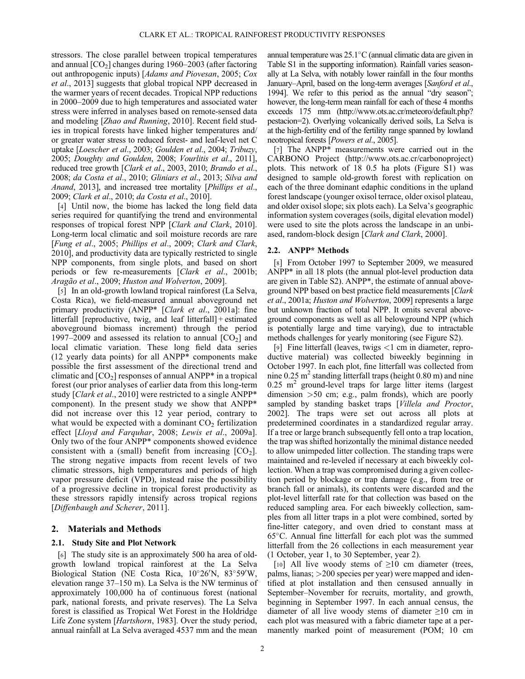stressors. The close parallel between tropical temperatures and annual  $[CO<sub>2</sub>]$  changes during 1960–2003 (after factoring out anthropogenic inputs) [Adams and Piovesan, 2005; Cox et al., 2013] suggests that global tropical NPP decreased in the warmer years of recent decades. Tropical NPP reductions in 2000–2009 due to high temperatures and associated water stress were inferred in analyses based on remote-sensed data and modeling [Zhao and Running, 2010]. Recent field studies in tropical forests have linked higher temperatures and/ or greater water stress to reduced forest- and leaf-level net C uptake [Loescher et al., 2003; Goulden et al., 2004; Tribuzy, 2005; Doughty and Goulden, 2008; Vourlitis et al., 2011], reduced tree growth [Clark et al., 2003, 2010; Brando et al., 2008; da Costa et al., 2010; Gliniars et al., 2013; Silva and Anand, 2013], and increased tree mortality [Phillips et al., 2009; Clark et al., 2010; da Costa et al., 2010].

[4] Until now, the biome has lacked the long field data series required for quantifying the trend and environmental responses of tropical forest NPP [Clark and Clark, 2010]. Long-term local climatic and soil moisture records are rare [Fung et al., 2005; Phillips et al., 2009; Clark and Clark, 2010], and productivity data are typically restricted to single NPP components, from single plots, and based on short periods or few re-measurements [Clark et al., 2001b; Aragão et al., 2009; Huston and Wolverton, 2009].

[5] In an old-growth lowland tropical rainforest (La Selva, Costa Rica), we field-measured annual aboveground net primary productivity (ANPP\* [Clark et al., 2001a]: fine litterfall [reproductive, twig, and leaf litterfall] + estimated aboveground biomass increment) through the period 1997–2009 and assessed its relation to annual  $[CO<sub>2</sub>]$  and local climatic variation. These long field data series (12 yearly data points) for all ANPP\* components make possible the first assessment of the directional trend and climatic and  $[CO<sub>2</sub>]$  responses of annual ANPP\* in a tropical forest (our prior analyses of earlier data from this long-term study [Clark et al., 2010] were restricted to a single ANPP\* component). In the present study we show that ANPP\* did not increase over this 12 year period, contrary to what would be expected with a dominant  $CO<sub>2</sub>$  fertilization effect [Lloyd and Farquhar, 2008; Lewis et al., 2009a]. Only two of the four ANPP\* components showed evidence consistent with a (small) benefit from increasing  $[CO<sub>2</sub>]$ . The strong negative impacts from recent levels of two climatic stressors, high temperatures and periods of high vapor pressure deficit (VPD), instead raise the possibility of a progressive decline in tropical forest productivity as these stressors rapidly intensify across tropical regions [Diffenbaugh and Scherer, 2011].

## 2. Materials and Methods

### 2.1. Study Site and Plot Network

[6] The study site is an approximately 500 ha area of oldgrowth lowland tropical rainforest at the La Selva Biological Station (NE Costa Rica, 10°26'N, 83°59'W, elevation range 37–150 m). La Selva is the NW terminus of approximately 100,000 ha of continuous forest (national park, national forests, and private reserves). The La Selva forest is classified as Tropical Wet Forest in the Holdridge Life Zone system [Hartshorn, 1983]. Over the study period, annual rainfall at La Selva averaged 4537 mm and the mean

annual temperature was  $25.1^{\circ}$ C (annual climatic data are given in Table S1 in the supporting information). Rainfall varies seasonally at La Selva, with notably lower rainfall in the four months January–April, based on the long-term averages [Sanford et al., 1994]. We refer to this period as the annual "dry season"; however, the long-term mean rainfall for each of these 4 months exceeds 175 mm [\(http://www.ots.ac.cr/meteoro/default.php?](http://www.ots.ac.cr/meteoro/default.php?pestacion=2) [pestacion=2\)](http://www.ots.ac.cr/meteoro/default.php?pestacion=2). Overlying volcanically derived soils, La Selva is at the high-fertility end of the fertility range spanned by lowland neotropical forests [Powers et al., 2005].

[7] The ANPP\* measurements were carried out in the CARBONO Project [\(http://www.ots.ac.cr/carbonoproject\)](http://www.ots.ac.cr/carbonoproject) plots. This network of 18 0.5 ha plots (Figure S1) was designed to sample old-growth forest with replication on each of the three dominant edaphic conditions in the upland forest landscape (younger oxisol terrace, older oxisol plateau, and older oxisol slope; six plots each). La Selva's geographic information system coverages (soils, digital elevation model) were used to site the plots across the landscape in an unbiased, random-block design [Clark and Clark, 2000].

## 2.2. ANPP\* Methods

[8] From October 1997 to September 2009, we measured ANPP\* in all 18 plots (the annual plot-level production data are given in Table S2). ANPP\*, the estimate of annual aboveground NPP based on best practice field measurements [Clark et al., 2001a; Huston and Wolverton, 2009] represents a large but unknown fraction of total NPP. It omits several aboveground components as well as all belowground NPP (which is potentially large and time varying), due to intractable methods challenges for yearly monitoring (see Figure S2).

[9] Fine litterfall (leaves, twigs  $\lt 1$  cm in diameter, reproductive material) was collected biweekly beginning in October 1997. In each plot, fine litterfall was collected from nine  $0.25 \text{ m}^2$  standing litterfall traps (height  $0.80 \text{ m}$ ) and nine  $0.25$  m<sup>2</sup> ground-level traps for large litter items (largest dimension >50 cm; e.g., palm fronds), which are poorly sampled by standing basket traps [Villela and Proctor, 2002]. The traps were set out across all plots at predetermined coordinates in a standardized regular array. If a tree or large branch subsequently fell onto a trap location, the trap was shifted horizontally the minimal distance needed to allow unimpeded litter collection. The standing traps were maintained and re-leveled if necessary at each biweekly collection. When a trap was compromised during a given collection period by blockage or trap damage (e.g., from tree or branch fall or animals), its contents were discarded and the plot-level litterfall rate for that collection was based on the reduced sampling area. For each biweekly collection, samples from all litter traps in a plot were combined, sorted by fine-litter category, and oven dried to constant mass at  $65^{\circ}$ C. Annual fine litterfall for each plot was the summed litterfall from the 26 collections in each measurement year (1 October, year 1, to 30 September, year 2).

[10] All live woody stems of  $\geq$ 10 cm diameter (trees, palms, lianas; >200 species per year) were mapped and identified at plot installation and then censused annually in September–November for recruits, mortality, and growth, beginning in September 1997. In each annual census, the diameter of all live woody stems of diameter  $\geq 10$  cm in each plot was measured with a fabric diameter tape at a permanently marked point of measurement (POM; 10 cm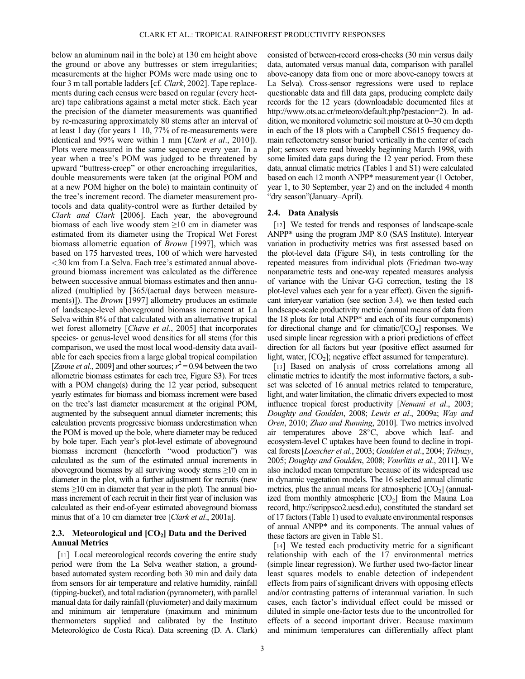below an aluminum nail in the bole) at 130 cm height above the ground or above any buttresses or stem irregularities; measurements at the higher POMs were made using one to four 3 m tall portable ladders [cf. Clark, 2002]. Tape replacements during each census were based on regular (every hectare) tape calibrations against a metal meter stick. Each year the precision of the diameter measurements was quantified by re-measuring approximately 80 stems after an interval of at least 1 day (for years 1–10, 77% of re-measurements were identical and 99% were within 1 mm [Clark et al., 2010]). Plots were measured in the same sequence every year. In a year when a tree's POM was judged to be threatened by upward "buttress-creep" or other encroaching irregularities, double measurements were taken (at the original POM and at a new POM higher on the bole) to maintain continuity of the tree's increment record. The diameter measurement protocols and data quality-control were as further detailed by Clark and Clark [2006]. Each year, the aboveground biomass of each live woody stem  $\geq 10$  cm in diameter was estimated from its diameter using the Tropical Wet Forest biomass allometric equation of Brown [1997], which was based on 175 harvested trees, 100 of which were harvested <30 km from La Selva. Each tree's estimated annual aboveground biomass increment was calculated as the difference between successive annual biomass estimates and then annualized (multiplied by [365/(actual days between measurements)]). The *Brown* [1997] allometry produces an estimate of landscape-level aboveground biomass increment at La Selva within 8% of that calculated with an alternative tropical wet forest allometry [Chave et al., 2005] that incorporates species- or genus-level wood densities for all stems (for this comparison, we used the most local wood-density data available for each species from a large global tropical compilation [Zanne et al., 2009] and other sources;  $r^2 = 0.94$  between the two allometric biomass estimates for each tree, Figure S3). For trees with a POM change(s) during the 12 year period, subsequent yearly estimates for biomass and biomass increment were based on the tree's last diameter measurement at the original POM, augmented by the subsequent annual diameter increments; this calculation prevents progressive biomass underestimation when the POM is moved up the bole, where diameter may be reduced by bole taper. Each year's plot-level estimate of aboveground biomass increment (henceforth "wood production") was calculated as the sum of the estimated annual increments in aboveground biomass by all surviving woody stems  $\geq 10$  cm in diameter in the plot, with a further adjustment for recruits (new stems ≥10 cm in diameter that year in the plot). The annual biomass increment of each recruit in their first year of inclusion was calculated as their end-of-year estimated aboveground biomass minus that of a 10 cm diameter tree [Clark et al., 2001a].

## 2.3. Meteorological and  $[CO<sub>2</sub>]$  Data and the Derived Annual Metrics

[11] Local meteorological records covering the entire study period were from the La Selva weather station, a groundbased automated system recording both 30 min and daily data from sensors for air temperature and relative humidity, rainfall (tipping-bucket), and total radiation (pyranometer), with parallel manual data for daily rainfall (pluviometer) and daily maximum and minimum air temperature (maximum and minimum thermometers supplied and calibrated by the Instituto Meteorológico de Costa Rica). Data screening (D. A. Clark)

consisted of between-record cross-checks (30 min versus daily data, automated versus manual data, comparison with parallel above-canopy data from one or more above-canopy towers at La Selva). Cross-sensor regressions were used to replace questionable data and fill data gaps, producing complete daily records for the 12 years (downloadable documented files at <http://www.ots.ac.cr/meteoro/default.php?pestacion=2>). In addition, we monitored volumetric soil moisture at 0–30 cm depth in each of the 18 plots with a Campbell CS615 frequency domain reflectometry sensor buried vertically in the center of each plot; sensors were read biweekly beginning March 1998, with some limited data gaps during the 12 year period. From these data, annual climatic metrics (Tables 1 and S1) were calculated based on each 12 month ANPP\* measurement year (1 October, year 1, to 30 September, year 2) and on the included 4 month "dry season"(January–April).

## 2.4. Data Analysis

[12] We tested for trends and responses of landscape-scale ANPP\* using the program JMP 8.0 (SAS Institute). Interyear variation in productivity metrics was first assessed based on the plot-level data (Figure S4), in tests controlling for the repeated measures from individual plots (Friedman two-way nonparametric tests and one-way repeated measures analysis of variance with the Univar G-G correction, testing the 18 plot-level values each year for a year effect). Given the significant interyear variation (see section 3.4), we then tested each landscape-scale productivity metric (annual means of data from the 18 plots for total ANPP\* and each of its four components) for directional change and for climatic/ $[CO<sub>2</sub>]$  responses. We used simple linear regression with a priori predictions of effect direction for all factors but year (positive effect assumed for light, water,  $[CO<sub>2</sub>]$ ; negative effect assumed for temperature).

[13] Based on analysis of cross correlations among all climatic metrics to identify the most informative factors, a subset was selected of 16 annual metrics related to temperature, light, and water limitation, the climatic drivers expected to most influence tropical forest productivity [Nemani et al., 2003; Doughty and Goulden, 2008; Lewis et al., 2009a; Way and Oren, 2010; Zhao and Running, 2010]. Two metrics involved air temperatures above  $28^{\circ}$ C, above which leaf- and ecosystem-level C uptakes have been found to decline in tropical forests [Loescher et al., 2003; Goulden et al., 2004; Tribuzy, 2005; Doughty and Goulden, 2008; Vourlitis et al., 2011]. We also included mean temperature because of its widespread use in dynamic vegetation models. The 16 selected annual climatic metrics, plus the annual means for atmospheric  $[CO<sub>2</sub>]$  (annualized from monthly atmospheric  $[CO<sub>2</sub>]$  from the Mauna Loa record, [http://scrippsco2.ucsd.edu\)](http://scrippsco2.ucsd.edu), constituted the standard set of 17 factors (Table 1) used to evaluate environmental responses of annual ANPP\* and its components. The annual values of these factors are given in Table S1.

[14] We tested each productivity metric for a significant relationship with each of the 17 environmental metrics (simple linear regression). We further used two-factor linear least squares models to enable detection of independent effects from pairs of significant drivers with opposing effects and/or contrasting patterns of interannual variation. In such cases, each factor's individual effect could be missed or diluted in simple one-factor tests due to the uncontrolled for effects of a second important driver. Because maximum and minimum temperatures can differentially affect plant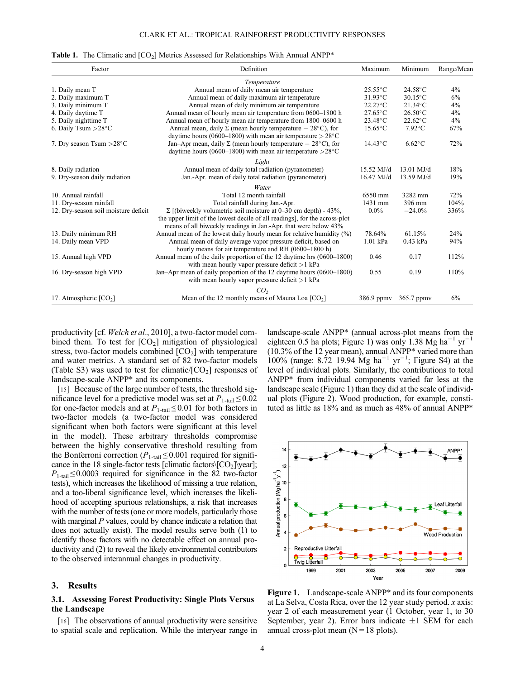#### **Table 1.** The Climatic and  $[CO<sub>2</sub>]$  Metrics Assessed for Relationships With Annual ANPP\*

| Factor                               | Definition                                                                  | Maximum              | Minimum           | Range/Mean |
|--------------------------------------|-----------------------------------------------------------------------------|----------------------|-------------------|------------|
|                                      | Temperature                                                                 |                      |                   |            |
| 1. Daily mean T                      | Annual mean of daily mean air temperature                                   | $25.55^{\circ}$ C    | $24.58$ °C        | 4%         |
| 2. Daily maximum T                   | Annual mean of daily maximum air temperature                                | $31.93^{\circ}$ C    | $30.15^{\circ}$ C | 6%         |
| 3. Daily minimum T                   | Annual mean of daily minimum air temperature                                | $22.27^{\circ}$ C    | $21.34$ °C        | 4%         |
| 4. Daily daytime T                   | Annual mean of hourly mean air temperature from 0600-1800 h                 | $27.65$ °C           | $26.50^{\circ}$ C | 4%         |
| 5. Daily nighttime T                 | Annual mean of hourly mean air temperature from 1800–0600 h                 | 23.48°C              | $22.62^{\circ}$ C | 4%         |
| 6. Daily Tsum $>28^{\circ}$ C        | Annual mean, daily $\Sigma$ (mean hourly temperature $-28^{\circ}$ C), for  |                      | $7.92^{\circ}$ C  | 67%        |
|                                      | daytime hours (0600–1800) with mean air temperature $> 28^{\circ}$ C        |                      |                   |            |
| 7. Dry season Tsum $>28^{\circ}$ C   | Jan-Apr mean, daily $\Sigma$ (mean hourly temperature $-28^{\circ}$ C), for | $14.43^{\circ}$ C    | $6.62^{\circ}$ C  | 72%        |
|                                      | daytime hours (0600–1800) with mean air temperature $>28^{\circ}$ C         |                      |                   |            |
|                                      | Light                                                                       |                      |                   |            |
| 8. Daily radiation                   | Annual mean of daily total radiation (pyranometer)                          | $15.52$ MJ/d         | $13.01$ MJ/d      | 18%        |
| 9. Dry-season daily radiation        | Jan.-Apr. mean of daily total radiation (pyranometer)                       | $16.47 \text{ MJ/d}$ | 13.59 MJ/d        | 19%        |
|                                      | Water                                                                       |                      |                   |            |
| 10. Annual rainfall                  | Total 12 month rainfall                                                     | 6550 mm              | 3282 mm           | 72%        |
| 11. Dry-season rainfall              | Total rainfall during Jan.-Apr.                                             | 1431 mm              | 396 mm            | 104%       |
| 12. Dry-season soil moisture deficit | $\Sigma$ [(biweekly volumetric soil moisture at 0–30 cm depth) - 43%,       |                      | $-24.0%$          | 336%       |
|                                      | the upper limit of the lowest decile of all readings], for the across-plot  |                      |                   |            |
|                                      | means of all biweekly readings in Jan.-Apr. that were below 43%             |                      |                   |            |
| 13. Daily minimum RH                 | Annual mean of the lowest daily hourly mean for relative humidity $(\%)$    | 78.64%               | 61.15%            | 24%        |
| 14. Daily mean VPD                   | Annual mean of daily average vapor pressure deficit, based on               | $1.01$ kPa           | $0.43$ kPa        | 94%        |
|                                      | hourly means for air temperature and RH (0600-1800 h)                       |                      |                   |            |
| 15. Annual high VPD                  | Annual mean of the daily proportion of the 12 daytime hrs (0600–1800)       | 0.46                 | 0.17              | 112%       |
|                                      | with mean hourly vapor pressure deficit $>1$ kPa                            |                      |                   |            |
| 16. Dry-season high VPD              | Jan-Apr mean of daily proportion of the 12 daytime hours (0600–1800)        | 0.55                 | 0.19              | 110%       |
|                                      | with mean hourly vapor pressure deficit $>1$ kPa                            |                      |                   |            |
|                                      | CO <sub>2</sub>                                                             |                      |                   |            |
| 17. Atmospheric $[CO2]$              | Mean of the 12 monthly means of Mauna Loa $[CO2]$                           | 386.9 ppmy           | 365.7 ppmy        | 6%         |

productivity [cf. Welch et al., 2010], a two-factor model combined them. To test for  $[CO<sub>2</sub>]$  mitigation of physiological stress, two-factor models combined  $[CO<sub>2</sub>]$  with temperature and water metrics. A standard set of 82 two-factor models (Table S3) was used to test for climatic/ $[CO<sub>2</sub>]$  responses of landscape-scale ANPP\* and its components.

[15] Because of the large number of tests, the threshold significance level for a predictive model was set at  $P_{1-tail} \le 0.02$ for one-factor models and at  $P_{1-tail} \leq 0.01$  for both factors in two-factor models (a two-factor model was considered significant when both factors were significant at this level in the model). These arbitrary thresholds compromise between the highly conservative threshold resulting from the Bonferroni correction ( $P_{1-tail} \le 0.001$  required for significance in the 18 single-factor tests [climatic factors $\{CO_2\}$ ] year];  $P_{1\text{-tail}} \leq 0.0003$  required for significance in the 82 two-factor tests), which increases the likelihood of missing a true relation, and a too-liberal significance level, which increases the likelihood of accepting spurious relationships, a risk that increases with the number of tests (one or more models, particularly those with marginal P values, could by chance indicate a relation that does not actually exist). The model results serve both (1) to identify those factors with no detectable effect on annual productivity and (2) to reveal the likely environmental contributors to the observed interannual changes in productivity.

#### 3. Results

## 3.1. Assessing Forest Productivity: Single Plots Versus the Landscape

[16] The observations of annual productivity were sensitive to spatial scale and replication. While the interyear range in

landscape-scale ANPP\* (annual across-plot means from the eighteen 0.5 ha plots; Figure 1) was only 1.38 Mg ha<sup>-1</sup> yr<sup>-1</sup> (10.3% of the 12 year mean), annual ANPP\* varied more than 100% (range: 8.72–19.94 Mg ha<sup>-1</sup> yr<sup>-1</sup>; Figure S4) at the level of individual plots. Similarly, the contributions to total ANPP\* from individual components varied far less at the landscape scale (Figure 1) than they did at the scale of individual plots (Figure 2). Wood production, for example, constituted as little as 18% and as much as 48% of annual ANPP\*



Figure 1. Landscape-scale ANPP<sup>\*</sup> and its four components at La Selva, Costa Rica, over the 12 year study period. x axis: year 2 of each measurement year (1 October, year 1, to 30 September, year 2). Error bars indicate  $\pm 1$  SEM for each annual cross-plot mean  $(N = 18$  plots).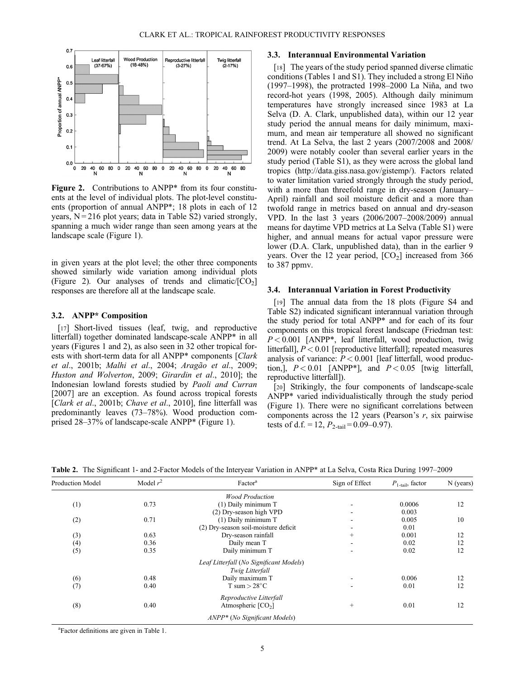

Figure 2. Contributions to ANPP<sup>\*</sup> from its four constituents at the level of individual plots. The plot-level constituents (proportion of annual ANPP\*; 18 plots in each of 12 years,  $N = 216$  plot years; data in Table S2) varied strongly, spanning a much wider range than seen among years at the landscape scale (Figure 1).

in given years at the plot level; the other three components showed similarly wide variation among individual plots (Figure 2). Our analyses of trends and climatic/ $[CO<sub>2</sub>]$ responses are therefore all at the landscape scale.

## 3.2. ANPP\* Composition

[17] Short-lived tissues (leaf, twig, and reproductive litterfall) together dominated landscape-scale ANPP\* in all years (Figures 1 and 2), as also seen in 32 other tropical forests with short-term data for all ANPP\* components [Clark et al., 2001b; Malhi et al., 2004; Aragão et al., 2009; Huston and Wolverton, 2009; Girardin et al., 2010]; the Indonesian lowland forests studied by Paoli and Curran [2007] are an exception. As found across tropical forests [Clark et al., 2001b; Chave et al., 2010], fine litterfall was predominantly leaves (73–78%). Wood production comprised 28–37% of landscape-scale ANPP\* (Figure 1).

### 3.3. Interannual Environmental Variation

[18] The years of the study period spanned diverse climatic conditions (Tables 1 and S1). They included a strong El Niño (1997–1998), the protracted 1998–2000 La Niña, and two record-hot years (1998, 2005). Although daily minimum temperatures have strongly increased since 1983 at La Selva (D. A. Clark, unpublished data), within our 12 year study period the annual means for daily minimum, maximum, and mean air temperature all showed no significant trend. At La Selva, the last 2 years (2007/2008 and 2008/ 2009) were notably cooler than several earlier years in the study period (Table S1), as they were across the global land tropics [\(http://data.giss.nasa.gov/gistemp/\)](http://data.giss.nasa.gov/gistemp/). Factors related to water limitation varied strongly through the study period, with a more than threefold range in dry-season (January– April) rainfall and soil moisture deficit and a more than twofold range in metrics based on annual and dry-season VPD. In the last 3 years (2006/2007–2008/2009) annual means for daytime VPD metrics at La Selva (Table S1) were higher, and annual means for actual vapor pressure were lower (D.A. Clark, unpublished data), than in the earlier 9 years. Over the 12 year period,  $[CO<sub>2</sub>]$  increased from 366 to 387 ppmv.

#### 3.4. Interannual Variation in Forest Productivity

[19] The annual data from the 18 plots (Figure S4 and Table S2) indicated significant interannual variation through the study period for total ANPP\* and for each of its four components on this tropical forest landscape (Friedman test:  $P < 0.001$  [ANPP\*, leaf litterfall, wood production, twig litterfall],  $P < 0.01$  [reproductive litterfall]; repeated measures analysis of variance:  $P < 0.001$  [leaf litterfall, wood production,],  $P < 0.01$  [ANPP<sup>\*</sup>], and  $P < 0.05$  [twig litterfall, reproductive litterfall]).

[20] Strikingly, the four components of landscape-scale ANPP\* varied individualistically through the study period (Figure 1). There were no significant correlations between components across the 12 years (Pearson's  $r$ , six pairwise tests of d.f. = 12,  $P_{2-tail}$  = 0.09–0.97).

Table 2. The Significant 1- and 2-Factor Models of the Interyear Variation in ANPP\* at La Selva, Costa Rica During 1997–2009

| <b>Production Model</b> | Model $r^2$ | Factor <sup>a</sup>                       | Sign of Effect | $P_{1\text{-tail}}$ , factor | $N$ (years) |
|-------------------------|-------------|-------------------------------------------|----------------|------------------------------|-------------|
|                         |             | <b>Wood Production</b>                    |                |                              |             |
| (1)                     | 0.73        | (1) Daily minimum T                       |                | 0.0006                       | 12          |
|                         |             | (2) Dry-season high VPD                   |                | 0.003                        |             |
| (2)                     | 0.71        | (1) Daily minimum T                       |                | 0.005                        | 10          |
|                         |             | (2) Dry-season soil-moisture deficit      |                | 0.01                         |             |
| (3)                     | 0.63        | Dry-season rainfall                       | $^{+}$         | 0.001                        | 12          |
| (4)                     | 0.36        | Daily mean T                              |                | 0.02                         | 12          |
| (5)                     | 0.35        | Daily minimum T                           |                | 0.02                         | 12          |
|                         |             | Leaf Litterfall (No Significant Models)   |                |                              |             |
|                         |             | Twig Litterfall                           |                |                              |             |
| (6)                     | 0.48        | Daily maximum T                           |                | 0.006                        | 12          |
| (7)                     | 0.40        | T sum $> 28^{\circ}$ C                    |                | 0.01                         | 12          |
|                         |             | Reproductive Litterfall                   |                |                              |             |
| (8)                     | 0.40        | Atmospheric $[CO2]$                       | $^{+}$         | 0.01                         | 12          |
|                         |             | ANPP <sup>*</sup> (No Significant Models) |                |                              |             |
|                         |             |                                           |                |                              |             |

a Factor definitions are given in Table 1.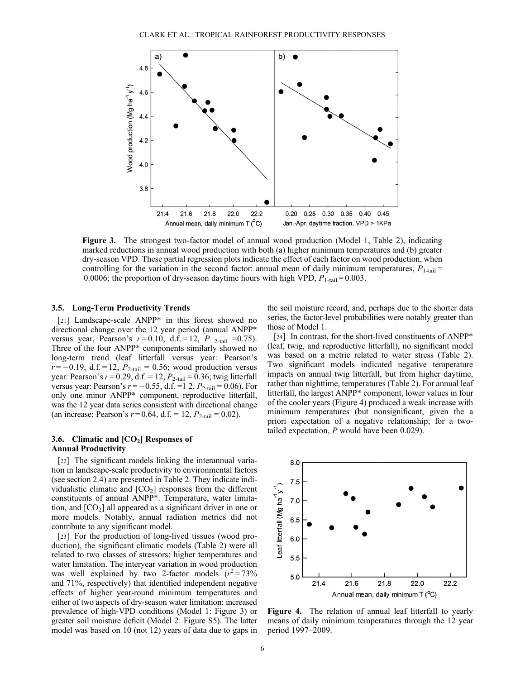

Figure 3. The strongest two-factor model of annual wood production (Model 1, Table 2), indicating marked reductions in annual wood production with both (a) higher minimum temperatures and (b) greater dry-season VPD. These partial regression plots indicate the effect of each factor on wood production, when controlling for the variation in the second factor: annual mean of daily minimum temperatures,  $P_{1-tail}$  = 0.0006; the proportion of dry-season daytime hours with high VPD,  $P_{1-tail} = 0.003$ .

### 3.5. Long-Term Productivity Trends

[21] Landscape-scale ANPP<sup>\*</sup> in this forest showed no directional change over the 12 year period (annual ANPP\* versus year, Pearson's  $r = 0.10$ , d.f. = 12, P 2-tail = 0.75). Three of the four ANPP\* components similarly showed no long-term trend (leaf litterfall versus year: Pearson's  $r = -0.19$ , d.f. = 12,  $P_{2\text{-tail}} = 0.56$ ; wood production versus year: Pearson's  $r = 0.29$ , d.f. = 12,  $P_{2\text{-tail}} = 0.36$ ; twig litterfall versus year: Pearson's  $r = -0.55$ , d.f. =1 2,  $P_{2-tail} = 0.06$ ). For only one minor ANPP\* component, reproductive litterfall, was the 12 year data series consistent with directional change (an increase; Pearson's  $r = 0.64$ , d.f. = 12,  $P_{2-tail} = 0.02$ ).

## 3.6. Climatic and  $[CO<sub>2</sub>]$  Responses of Annual Productivity

[22] The significant models linking the interannual variation in landscape-scale productivity to environmental factors (see section 2.4) are presented in Table 2. They indicate individualistic climatic and  $[CO<sub>2</sub>]$  responses from the different constituents of annual ANPP\*. Temperature, water limitation, and  $[CO<sub>2</sub>]$  all appeared as a significant driver in one or more models. Notably, annual radiation metrics did not contribute to any significant model.

[23] For the production of long-lived tissues (wood production), the significant climatic models (Table 2) were all related to two classes of stressors: higher temperatures and water limitation. The interyear variation in wood production was well explained by two 2-factor models  $(r^2 = 73\%)$ and 71%, respectively) that identified independent negative effects of higher year-round minimum temperatures and either of two aspects of dry-season water limitation: increased prevalence of high-VPD conditions (Model 1: Figure 3) or greater soil moisture deficit (Model 2: Figure S5). The latter model was based on 10 (not 12) years of data due to gaps in the soil moisture record, and, perhaps due to the shorter data series, the factor-level probabilities were notably greater than those of Model 1.

[24] In contrast, for the short-lived constituents of ANPP\* (leaf, twig, and reproductive litterfall), no significant model was based on a metric related to water stress (Table 2). Two significant models indicated negative temperature impacts on annual twig litterfall, but from higher daytime, rather than nighttime, temperatures (Table 2). For annual leaf litterfall, the largest ANPP\* component, lower values in four of the cooler years (Figure 4) produced a weak increase with minimum temperatures (but nonsignificant, given the a priori expectation of a negative relationship; for a twotailed expectation, P would have been 0.029).



Figure 4. The relation of annual leaf litterfall to yearly means of daily minimum temperatures through the 12 year period 1997–2009.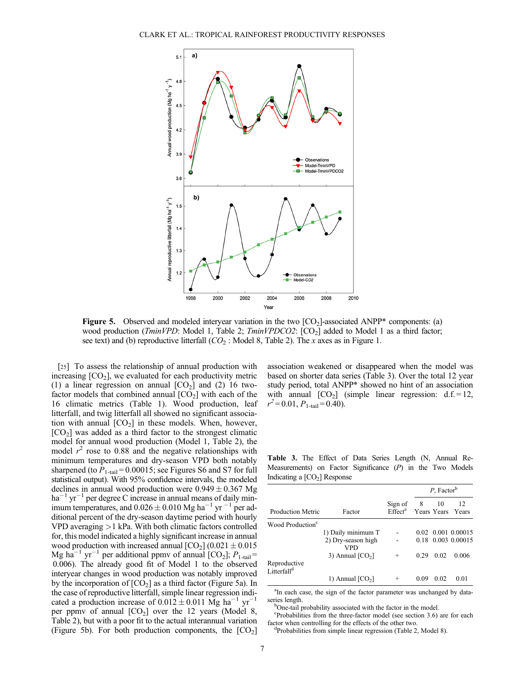

**Figure 5.** Observed and modeled interyear variation in the two  $[CO<sub>2</sub>]$ -associated ANPP\* components: (a) wood production (*TminVPD*: Model 1, Table 2;  $TminVPDCO2$ :  $[CO<sub>2</sub>]$  added to Model 1 as a third factor; see text) and (b) reproductive litterfall  $(CO<sub>2</sub>)$ : Model 8, Table 2). The x axes as in Figure 1.

[25] To assess the relationship of annual production with increasing  $[CO<sub>2</sub>]$ , we evaluated for each productivity metric (1) a linear regression on annual  $[CO<sub>2</sub>]$  and (2) 16 twofactor models that combined annual  $[CO<sub>2</sub>]$  with each of the 16 climatic metrics (Table 1). Wood production, leaf litterfall, and twig litterfall all showed no significant association with annual  $[CO<sub>2</sub>]$  in these models. When, however,  $[CO<sub>2</sub>]$  was added as a third factor to the strongest climatic model for annual wood production (Model 1, Table 2), the model  $r^2$  rose to 0.88 and the negative relationships with minimum temperatures and dry-season VPD both notably sharpened (to  $P_{1\text{-tail}} = 0.00015$ ; see Figures S6 and S7 for full statistical output). With 95% confidence intervals, the modeled declines in annual wood production were  $0.949 \pm 0.367$  Mg  $ha^{-1}$  yr<sup>-1</sup> per degree C increase in annual means of daily minimum temperatures, and  $0.026 \pm 0.010$  Mg ha<sup>-1</sup> yr<sup>-1</sup> per additional percent of the dry-season daytime period with hourly VPD averaging >1 kPa. With both climatic factors controlled for, this model indicated a highly significant increase in annual wood production with increased annual  $[CO_2] (0.021 \pm 0.015$ Mg ha<sup>-1</sup> yr<sup>-1</sup> per additional ppmv of annual  $[CO_2]$ ;  $P_{1-tail}$  = 0.006). The already good fit of Model 1 to the observed interyear changes in wood production was notably improved by the incorporation of  $[CO<sub>2</sub>]$  as a third factor (Figure 5a). In the case of reproductive litterfall, simple linear regression indicated a production increase of  $0.012 \pm 0.011$  Mg ha<sup>-1</sup> yr<sup>-1</sup> per ppmv of annual  $[CO<sub>2</sub>]$  over the 12 years (Model 8, Table 2), but with a poor fit to the actual interannual variation (Figure 5b). For both production components, the  $[CO<sub>2</sub>]$ 

association weakened or disappeared when the model was based on shorter data series (Table 3). Over the total 12 year study period, total ANPP\* showed no hint of an association with annual  $[CO_2]$  (simple linear regression:  $d.f. = 12$ ,  $r^2 = 0.01$ ,  $P_{1\text{-tail}} = 0.40$ ).

Table 3. The Effect of Data Series Length (N, Annual Re-Measurements) on Factor Significance (P) in the Two Models Indicating a  $[CO<sub>2</sub>]$  Response

|                                         |                           | Sign of<br>Effect <sup>a</sup> Years Years Years | $P$ , Factor <sup>b</sup> |      |                    |
|-----------------------------------------|---------------------------|--------------------------------------------------|---------------------------|------|--------------------|
| <b>Production Metric</b>                | Factor                    |                                                  | 8                         | 10   | 12                 |
| Wood Production <sup>c</sup>            |                           |                                                  |                           |      |                    |
|                                         | 1) Daily minimum T        |                                                  |                           |      | 0.02 0.001 0.00015 |
|                                         | 2) Dry-season high<br>VPD |                                                  | 0.18                      |      | 0.003 0.00015      |
|                                         | 3) Annual $[CO2]$         | $^{+}$                                           | 0.29                      | 0.02 | 0.006              |
| Reproductive<br>Litterfall <sup>d</sup> |                           |                                                  |                           |      |                    |
|                                         | 1) Annual $[CO2]$         | $^{+}$                                           | 0.09                      | 0.02 | 0.01               |

<sup>a</sup>In each case, the sign of the factor parameter was unchanged by dataseries length.

<sup>b</sup>One-tail probability associated with the factor in the model.

<sup>c</sup>Probabilities from the three-factor model (see section 3.6) are for each factor when controlling for the effects of the other two.

<sup>d</sup>Probabilities from simple linear regression (Table 2, Model 8).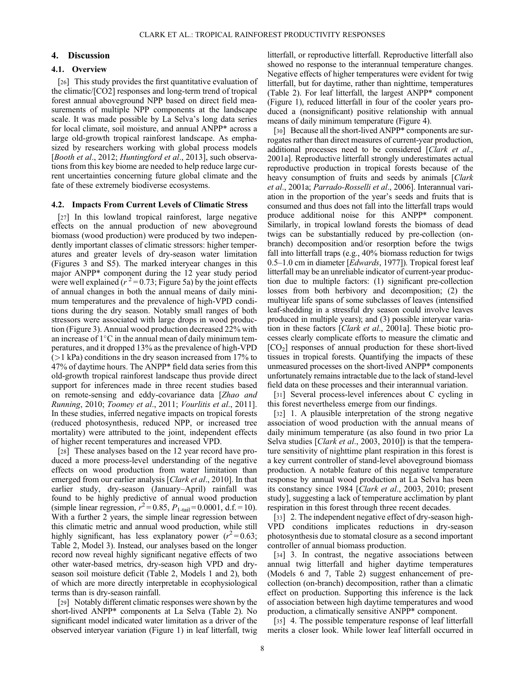#### 4. Discussion

### 4.1. Overview

[26] This study provides the first quantitative evaluation of the climatic/[CO2] responses and long-term trend of tropical forest annual aboveground NPP based on direct field measurements of multiple NPP components at the landscape scale. It was made possible by La Selva's long data series for local climate, soil moisture, and annual ANPP\* across a large old-growth tropical rainforest landscape. As emphasized by researchers working with global process models [Booth et al., 2012; Huntingford et al., 2013], such observations from this key biome are needed to help reduce large current uncertainties concerning future global climate and the fate of these extremely biodiverse ecosystems.

#### 4.2. Impacts From Current Levels of Climatic Stress

[27] In this lowland tropical rainforest, large negative effects on the annual production of new aboveground biomass (wood production) were produced by two independently important classes of climatic stressors: higher temperatures and greater levels of dry-season water limitation (Figures 3 and S5). The marked interyear changes in this major ANPP\* component during the 12 year study period were well explained ( $r^2$  = 0.73; Figure 5a) by the joint effects of annual changes in both the annual means of daily minimum temperatures and the prevalence of high-VPD conditions during the dry season. Notably small ranges of both stressors were associated with large drops in wood production (Figure 3). Annual wood production decreased 22% with an increase of  $1^{\circ}$ C in the annual mean of daily minimum temperatures, and it dropped 13% as the prevalence of high-VPD  $(1 \text{ kPa})$  conditions in the dry season increased from 17% to 47% of daytime hours. The ANPP\* field data series from this old-growth tropical rainforest landscape thus provide direct support for inferences made in three recent studies based on remote-sensing and eddy-covariance data [Zhao and Running, 2010; Toomey et al., 2011; Vourlitis et al., 2011]. In these studies, inferred negative impacts on tropical forests (reduced photosynthesis, reduced NPP, or increased tree mortality) were attributed to the joint, independent effects of higher recent temperatures and increased VPD.

[28] These analyses based on the 12 year record have produced a more process-level understanding of the negative effects on wood production from water limitation than emerged from our earlier analysis [Clark et al., 2010]. In that earlier study, dry-season (January–April) rainfall was found to be highly predictive of annual wood production (simple linear regression,  $r^2 = 0.85$ ,  $P_{1\text{-tail}} = 0.0001$ , d.f. = 10). With a further 2 years, the simple linear regression between this climatic metric and annual wood production, while still highly significant, has less explanatory power  $(r^2 = 0.63;$ Table 2, Model 3). Instead, our analyses based on the longer record now reveal highly significant negative effects of two other water-based metrics, dry-season high VPD and dryseason soil moisture deficit (Table 2, Models 1 and 2), both of which are more directly interpretable in ecophysiological terms than is dry-season rainfall.

[29] Notably different climatic responses were shown by the short-lived ANPP\* components at La Selva (Table 2). No significant model indicated water limitation as a driver of the observed interyear variation (Figure 1) in leaf litterfall, twig litterfall, or reproductive litterfall. Reproductive litterfall also showed no response to the interannual temperature changes. Negative effects of higher temperatures were evident for twig litterfall, but for daytime, rather than nighttime, temperatures (Table 2). For leaf litterfall, the largest ANPP\* component (Figure 1), reduced litterfall in four of the cooler years produced a (nonsignificant) positive relationship with annual means of daily minimum temperature (Figure 4).

[30] Because all the short-lived ANPP<sup>\*</sup> components are surrogates rather than direct measures of current-year production, additional processes need to be considered [Clark et al., 2001a]. Reproductive litterfall strongly underestimates actual reproductive production in tropical forests because of the heavy consumption of fruits and seeds by animals [Clark et al., 2001a; Parrado-Rosselli et al., 2006]. Interannual variation in the proportion of the year's seeds and fruits that is consumed and thus does not fall into the litterfall traps would produce additional noise for this ANPP\* component. Similarly, in tropical lowland forests the biomass of dead twigs can be substantially reduced by pre-collection (onbranch) decomposition and/or resorption before the twigs fall into litterfall traps (e.g., 40% biomass reduction for twigs 0.5–1.0 cm in diameter [*Edwards*, 1977]). Tropical forest leaf litterfall may be an unreliable indicator of current-year production due to multiple factors: (1) significant pre-collection losses from both herbivory and decomposition; (2) the multiyear life spans of some subclasses of leaves (intensified leaf-shedding in a stressful dry season could involve leaves produced in multiple years); and (3) possible interyear variation in these factors [Clark et al., 2001a]. These biotic processes clearly complicate efforts to measure the climatic and [CO2] responses of annual production for these short-lived tissues in tropical forests. Quantifying the impacts of these unmeasured processes on the short-lived ANPP\* components unfortunately remains intractable due to the lack of stand-level field data on these processes and their interannual variation.

[31] Several process-level inferences about C cycling in this forest nevertheless emerge from our findings.

[32] 1. A plausible interpretation of the strong negative association of wood production with the annual means of daily minimum temperature (as also found in two prior La Selva studies [*Clark et al.*, 2003, 2010]) is that the temperature sensitivity of nighttime plant respiration in this forest is a key current controller of stand-level aboveground biomass production. A notable feature of this negative temperature response by annual wood production at La Selva has been its constancy since 1984 [Clark et al., 2003, 2010; present study], suggesting a lack of temperature acclimation by plant respiration in this forest through three recent decades.

[33] 2. The independent negative effect of dry-season high-VPD conditions implicates reductions in dry-season photosynthesis due to stomatal closure as a second important controller of annual biomass production.

[34] 3. In contrast, the negative associations between annual twig litterfall and higher daytime temperatures (Models 6 and 7, Table 2) suggest enhancement of precollection (on-branch) decomposition, rather than a climatic effect on production. Supporting this inference is the lack of association between high daytime temperatures and wood production, a climatically sensitive ANPP\* component.

[35] 4. The possible temperature response of leaf litterfall merits a closer look. While lower leaf litterfall occurred in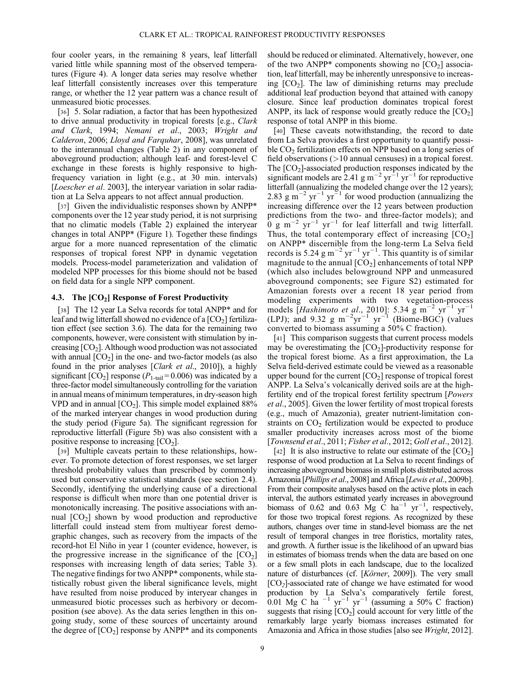four cooler years, in the remaining 8 years, leaf litterfall varied little while spanning most of the observed temperatures (Figure 4). A longer data series may resolve whether leaf litterfall consistently increases over this temperature range, or whether the 12 year pattern was a chance result of unmeasured biotic processes.

[36] 5. Solar radiation, a factor that has been hypothesized to drive annual productivity in tropical forests [e.g., Clark and Clark, 1994; Nemani et al., 2003; Wright and Calderon, 2006; Lloyd and Farquhar, 2008], was unrelated to the interannual changes (Table 2) in any component of aboveground production; although leaf- and forest-level C exchange in these forests is highly responsive to highfrequency variation in light (e.g., at 30 min. intervals) [*Loescher et al.* 2003], the interyear variation in solar radiation at La Selva appears to not affect annual production.

[37] Given the individualistic responses shown by ANPP\* components over the 12 year study period, it is not surprising that no climatic models (Table 2) explained the interyear changes in total ANPP\* (Figure 1). Together these findings argue for a more nuanced representation of the climatic responses of tropical forest NPP in dynamic vegetation models. Process-model parameterization and validation of modeled NPP processes for this biome should not be based on field data for a single NPP component.

## 4.3. The  $[CO<sub>2</sub>]$  Response of Forest Productivity

[38] The 12 year La Selva records for total ANPP<sup>\*</sup> and for leaf and twig litterfall showed no evidence of a  $[CO<sub>2</sub>]$  fertilization effect (see section 3.6). The data for the remaining two components, however, were consistent with stimulation by increasing  $[CO<sub>2</sub>]$ . Although wood production was not associated with annual  $[CO<sub>2</sub>]$  in the one- and two-factor models (as also found in the prior analyses [Clark et al., 2010]), a highly significant  $[CO_2]$  response ( $P_{1-tail} = 0.006$ ) was indicated by a three-factor model simultaneously controlling for the variation in annual means of minimum temperatures, in dry-season high VPD and in annual  $[CO_2]$ . This simple model explained 88% of the marked interyear changes in wood production during the study period (Figure 5a). The significant regression for reproductive litterfall (Figure 5b) was also consistent with a positive response to increasing  $[CO<sub>2</sub>]$ .

[39] Multiple caveats pertain to these relationships, however. To promote detection of forest responses, we set larger threshold probability values than prescribed by commonly used but conservative statistical standards (see section 2.4). Secondly, identifying the underlying cause of a directional response is difficult when more than one potential driver is monotonically increasing. The positive associations with annual  $[CO<sub>2</sub>]$  shown by wood production and reproductive litterfall could instead stem from multiyear forest demographic changes, such as recovery from the impacts of the record-hot El Niño in year 1 (counter evidence, however, is the progressive increase in the significance of the  $[CO<sub>2</sub>]$ responses with increasing length of data series; Table 3). The negative findings for two ANPP\* components, while statistically robust given the liberal significance levels, might have resulted from noise produced by interyear changes in unmeasured biotic processes such as herbivory or decomposition (see above). As the data series lengthen in this ongoing study, some of these sources of uncertainty around the degree of  $[CO_2]$  response by ANPP\* and its components

should be reduced or eliminated. Alternatively, however, one of the two ANPP\* components showing no  $[CO<sub>2</sub>]$  association, leaf litterfall, may be inherently unresponsive to increasing  $[CO<sub>2</sub>]$ . The law of diminishing returns may preclude additional leaf production beyond that attained with canopy closure. Since leaf production dominates tropical forest ANPP, its lack of response would greatly reduce the  $[CO<sub>2</sub>]$ response of total ANPP in this biome.

[40] These caveats notwithstanding, the record to date from La Selva provides a first opportunity to quantify possible  $CO<sub>2</sub>$  fertilization effects on NPP based on a long series of field observations (>10 annual censuses) in a tropical forest. The  $[CO<sub>2</sub>]$ -associated production responses indicated by the significant models are 2.41 g m<sup>-2</sup> yr<sup>-1</sup> yr<sup>-1</sup> for reproductive litterfall (annualizing the modeled change over the 12 years); 2.83 g m<sup>-2</sup> yr<sup>-1</sup> yr<sup>-1</sup> for wood production (annualizing the increasing difference over the 12 years between production predictions from the two- and three-factor models); and 0 g  $m^{-2}$  yr<sup>-1</sup> yr<sup>-1</sup> for leaf litterfall and twig litterfall. Thus, the total contemporary effect of increasing  $[CO<sub>2</sub>]$ on ANPP\* discernible from the long-term La Selva field records is 5.24 g m<sup>-2</sup> yr<sup>-1</sup> yr<sup>-1</sup>. This quantity is of similar magnitude to the annual  $[CO<sub>2</sub>]$  enhancements of total NPP (which also includes belowground NPP and unmeasured aboveground components; see Figure S2) estimated for Amazonian forests over a recent 18 year period from modeling experiments with two vegetation-process models [Hashimoto et al., 2010]: 5.34  $\rm g~m^{-2}~yr^{-1}~yr^{-1}$ (LPJ); and 9.32 g m<sup>-2</sup>yr<sup>-1</sup> yr<sup>-1</sup> (Biome-BGC) (values converted to biomass assuming a 50% C fraction).

[41] This comparison suggests that current process models may be overestimating the  $[CO<sub>2</sub>]$ -productivity response for the tropical forest biome. As a first approximation, the La Selva field-derived estimate could be viewed as a reasonable upper bound for the current  $[CO<sub>2</sub>]$  response of tropical forest ANPP. La Selva's volcanically derived soils are at the highfertility end of the tropical forest fertility spectrum [Powers et al., 2005]. Given the lower fertility of most tropical forests (e.g., much of Amazonia), greater nutrient-limitation constraints on  $CO<sub>2</sub>$  fertilization would be expected to produce smaller productivity increases across most of the biome [Townsend et al., 2011; Fisher et al., 2012; Goll et al., 2012].

[42] It is also instructive to relate our estimate of the  $[CO<sub>2</sub>]$ response of wood production at La Selva to recent findings of increasing aboveground biomass in small plots distributed across Amazonia [*Phillips et al.*, 2008] and Africa [*Lewis et al.*, 2009b]. From their composite analyses based on the active plots in each interval, the authors estimated yearly increases in aboveground biomass of 0.62 and 0.63 Mg  $\check{C}$  ha<sup>-1</sup> yr<sup>-1</sup>, respectively, for those two tropical forest regions. As recognized by these authors, changes over time in stand-level biomass are the net result of temporal changes in tree floristics, mortality rates, and growth. A further issue is the likelihood of an upward bias in estimates of biomass trends when the data are based on one or a few small plots in each landscape, due to the localized nature of disturbances (cf. [Körner, 2009]). The very small  $[CO<sub>2</sub>]$ -associated rate of change we have estimated for wood production by La Selva's comparatively fertile forest, 0.01 Mg C ha<sup>-1</sup> yr<sup>-1</sup> yr<sup>-1</sup> (assuming a 50% C fraction) suggests that rising  $[CO<sub>2</sub>]$  could account for very little of the remarkably large yearly biomass increases estimated for Amazonia and Africa in those studies [also see Wright, 2012].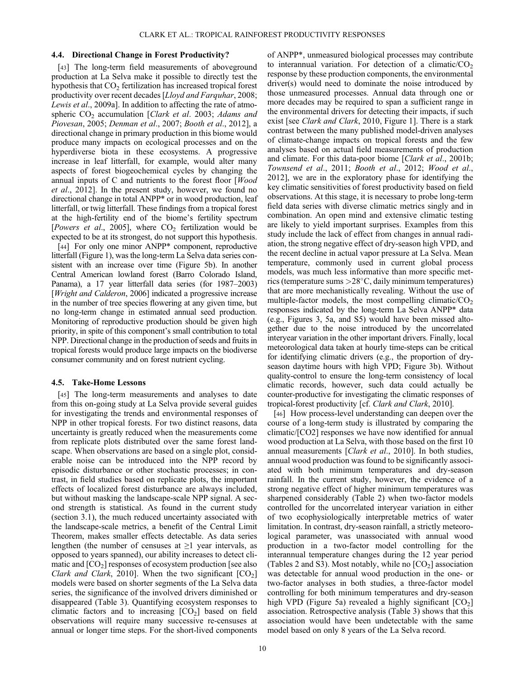#### 4.4. Directional Change in Forest Productivity?

[43] The long-term field measurements of aboveground production at La Selva make it possible to directly test the hypothesis that  $CO<sub>2</sub>$  fertilization has increased tropical forest productivity over recent decades [Lloyd and Farquhar, 2008; Lewis et al., 2009a]. In addition to affecting the rate of atmospheric  $CO<sub>2</sub>$  accumulation [*Clark et al.* 2003; Adams and Piovesan, 2005; Denman et al., 2007; Booth et al., 2012], a directional change in primary production in this biome would produce many impacts on ecological processes and on the hyperdiverse biota in these ecosystems. A progressive increase in leaf litterfall, for example, would alter many aspects of forest biogeochemical cycles by changing the annual inputs of C and nutrients to the forest floor [Wood et al., 2012]. In the present study, however, we found no directional change in total ANPP\* or in wood production, leaf litterfall, or twig litterfall. These findings from a tropical forest at the high-fertility end of the biome's fertility spectrum [*Powers et al.*, 2005], where  $CO<sub>2</sub>$  fertilization would be expected to be at its strongest, do not support this hypothesis.

[44] For only one minor ANPP\* component, reproductive litterfall (Figure 1), was the long-term La Selva data series consistent with an increase over time (Figure 5b). In another Central American lowland forest (Barro Colorado Island, Panama), a 17 year litterfall data series (for 1987–2003) [*Wright and Calderon*, 2006] indicated a progressive increase in the number of tree species flowering at any given time, but no long-term change in estimated annual seed production. Monitoring of reproductive production should be given high priority, in spite of this component's small contribution to total NPP. Directional change in the production of seeds and fruits in tropical forests would produce large impacts on the biodiverse consumer community and on forest nutrient cycling.

### 4.5. Take-Home Lessons

[45] The long-term measurements and analyses to date from this on-going study at La Selva provide several guides for investigating the trends and environmental responses of NPP in other tropical forests. For two distinct reasons, data uncertainty is greatly reduced when the measurements come from replicate plots distributed over the same forest landscape. When observations are based on a single plot, considerable noise can be introduced into the NPP record by episodic disturbance or other stochastic processes; in contrast, in field studies based on replicate plots, the important effects of localized forest disturbance are always included, but without masking the landscape-scale NPP signal. A second strength is statistical. As found in the current study (section 3.1), the much reduced uncertainty associated with the landscape-scale metrics, a benefit of the Central Limit Theorem, makes smaller effects detectable. As data series lengthen (the number of censuses at  $\geq 1$  year intervals, as opposed to years spanned), our ability increases to detect climatic and  $[CO<sub>2</sub>]$  responses of ecosystem production [see also Clark and Clark, 2010]. When the two significant  $[CO_2]$ models were based on shorter segments of the La Selva data series, the significance of the involved drivers diminished or disappeared (Table 3). Quantifying ecosystem responses to climatic factors and to increasing  $[CO<sub>2</sub>]$  based on field observations will require many successive re-censuses at annual or longer time steps. For the short-lived components

of ANPP\*, unmeasured biological processes may contribute to interannual variation. For detection of a climatic/ $CO<sub>2</sub>$ response by these production components, the environmental driver(s) would need to dominate the noise introduced by those unmeasured processes. Annual data through one or more decades may be required to span a sufficient range in the environmental drivers for detecting their impacts, if such exist [see *Clark and Clark*, 2010, Figure 1]. There is a stark contrast between the many published model-driven analyses of climate-change impacts on tropical forests and the few analyses based on actual field measurements of production and climate. For this data-poor biome [Clark et al., 2001b; Townsend et al., 2011; Booth et al., 2012; Wood et al., 2012], we are in the exploratory phase for identifying the key climatic sensitivities of forest productivity based on field observations. At this stage, it is necessary to probe long-term field data series with diverse climatic metrics singly and in combination. An open mind and extensive climatic testing are likely to yield important surprises. Examples from this study include the lack of effect from changes in annual radiation, the strong negative effect of dry-season high VPD, and the recent decline in actual vapor pressure at La Selva. Mean temperature, commonly used in current global process models, was much less informative than more specific metrics (temperature sums  $>28^{\circ}$ C, daily minimum temperatures) that are more mechanistically revealing. Without the use of multiple-factor models, the most compelling climatic/ $CO<sub>2</sub>$ responses indicated by the long-term La Selva ANPP\* data (e.g., Figures 3, 5a, and S5) would have been missed altogether due to the noise introduced by the uncorrelated interyear variation in the other important drivers. Finally, local meteorological data taken at hourly time-steps can be critical for identifying climatic drivers (e.g., the proportion of dryseason daytime hours with high VPD; Figure 3b). Without quality-control to ensure the long-term consistency of local climatic records, however, such data could actually be counter-productive for investigating the climatic responses of tropical-forest productivity [cf. Clark and Clark, 2010].

[46] How process-level understanding can deepen over the course of a long-term study is illustrated by comparing the climatic/[CO2] responses we have now identified for annual wood production at La Selva, with those based on the first 10 annual measurements [Clark et al., 2010]. In both studies, annual wood production was found to be significantly associated with both minimum temperatures and dry-season rainfall. In the current study, however, the evidence of a strong negative effect of higher minimum temperatures was sharpened considerably (Table 2) when two-factor models controlled for the uncorrelated interyear variation in either of two ecophysiologically interpretable metrics of water limitation. In contrast, dry-season rainfall, a strictly meteorological parameter, was unassociated with annual wood production in a two-factor model controlling for the interannual temperature changes during the 12 year period (Tables 2 and S3). Most notably, while no  $[CO<sub>2</sub>]$  association was detectable for annual wood production in the one- or two-factor analyses in both studies, a three-factor model controlling for both minimum temperatures and dry-season high VPD (Figure 5a) revealed a highly significant  $[CO<sub>2</sub>]$ association. Retrospective analysis (Table 3) shows that this association would have been undetectable with the same model based on only 8 years of the La Selva record.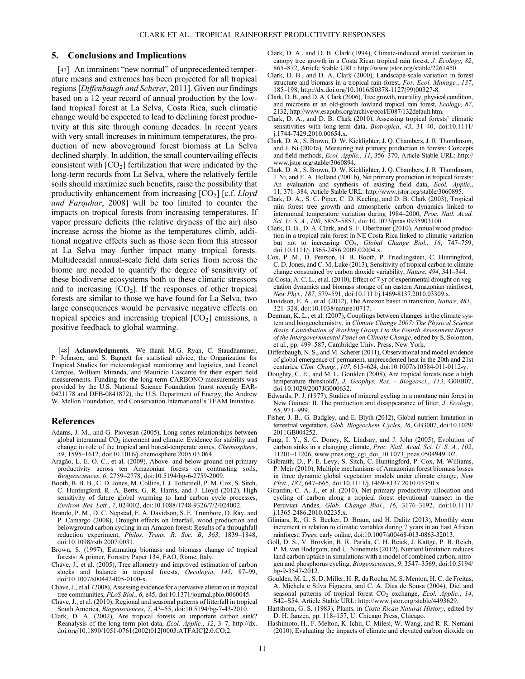## 5. Conclusions and Implications

[47] An imminent "new normal" of unprecedented temperature means and extremes has been projected for all tropical regions [Diffenbaugh and Scherer, 2011]. Given our findings based on a 12 year record of annual production by the lowland tropical forest at La Selva, Costa Rica, such climatic change would be expected to lead to declining forest productivity at this site through coming decades. In recent years with very small increases in minimum temperatures, the production of new aboveground forest biomass at La Selva declined sharply. In addition, the small countervailing effects consistent with  $[CO<sub>2</sub>]$  fertilization that were indicated by the long-term records from La Selva, where the relatively fertile soils should maximize such benefits, raise the possibility that productivity enhancement from increasing  $[CO_2]$  [c.f. Lloyd and Farquhar, 2008] will be too limited to counter the impacts on tropical forests from increasing temperatures. If vapor pressure deficits (the relative dryness of the air) also increase across the biome as the temperatures climb, additional negative effects such as those seen from this stressor at La Selva may further impact many tropical forests. Multidecadal annual-scale field data series from across the biome are needed to quantify the degree of sensitivity of these biodiverse ecosystems both to these climatic stressors and to increasing  $[CO_2]$ . If the responses of other tropical forests are similar to those we have found for La Selva, two large consequences would be pervasive negative effects on tropical species and increasing tropical  $[CO<sub>2</sub>]$  emissions, a positive feedback to global warming.

[48] Acknowledgments. We thank M.G. Ryan, C. Staudhammer, P. Johnson, and S. Baggett for statistical advice, the Organization for Tropical Studies for meteorological monitoring and logistics, and Leonel Campos, William Miranda, and Mauricio Cascante for their expert field measurements. Funding for the long-term CARBONO measurements was provided by the U.S. National Science Foundation (most recently EAR-0421178 and DEB-0841872), the U.S. Department of Energy, the Andrew W. Mellon Foundation, and Conservation International's TEAM Initiative.

#### References

- Adams, J. M., and G. Piovesan (2005), Long series relationships between global interannual CO<sub>2</sub> increment and climate: Evidence for stability and change in role of the tropical and boreal-temperate zones, Chemosphere, 59, 1595–1612, doi:10.1016/j.chemosphere.2005.03.064.
- Aragão, L. E. O. C., et al. (2009), Above- and below-ground net primary productivity across ten Amazonian forests on contrasting soils, Biogeosciences, 6, 2759–2778, doi:10.5194/bg-6-2759-2009.
- Booth, B. B. B., C. D. Jones, M. Collins, I. J. Totterdell, P. M. Cox, S. Sitch, C. Huntingford, R. A. Betts, G. R. Harris, and J. Lloyd (2012), High sensitivity of future global warming to land carbon cycle processes, Environ. Res. Lett., 7, 024002, doi:10.1088/1748-9326/7/2/024002.
- Brando, P. M., D. C. Nepstad, E. A. Davidson, S. E. Trumbore, D. Ray, and P. Camargo (2008), Drought effects on litterfall, wood production and belowground carbon cycling in an Amazon forest: Results of a throughfall reduction experiment, Philos. Trans. R. Soc. B, 363, 1839–1848, doi:10.1098/rstb.2007.0031.
- Brown, S. (1997), Estimating biomass and biomass change of tropical forests: A primer, Forestry Paper 134, FAO, Rome, Italy.
- Chave, J., et al. (2005), Tree allometry and improved estimation of carbon stocks and balance in tropical forests, Oecologia, 145, 87–99, doi:10.1007/s00442-005-0100-x.
- Chave, J., et al. (2008), Assessing evidence for a pervasive alteration in tropical tree communities, PLoS Biol., 6, e45, doi:10.1371/journal.pbio.0060045.
- Chave, J., et al. (2010), Regional and seasonal patterns of litterfall in tropical South America, *Biogeosciences*, 7, 43-55, doi:10.5194/bg-7-43-2010.
- Clark, D. A. (2002), Are tropical forests an important carbon sink? Reanalysis of the long-term plot data, Ecol. Applic., 12, 3-7, http://dx. doi.org/10.1890/1051-0761(2002)012[0003:ATFAIC]2.0.CO;2.
- Clark, D. A., and D. B. Clark (1994), Climate-induced annual variation in canopy tree growth in a Costa Rican tropical rain forest, J. Ecology, 82, 865–872, Article Stable URL: http://www.jstor.org/stable/2261450.
- Clark, D. B., and D. A. Clark (2000), Landscape-scale variation in forest structure and biomass in a tropical rain forest, For. Ecol. Manage., 137, 185–198, http://dx.doi.org/10.1016/S0378-1127(99)00327-8.
- Clark, D. B., and D. A. Clark (2006), Tree growth, mortality, physical condition, and microsite in an old-growth lowland tropical rain forest, Ecology, 87, 2132, [http://www.esapubs.org/archive/ecol/E087/132default.htm.](http://www.esapubs.org/archive/ecol/E087/132/default.htm)
- Clark, D. A., and D. B. Clark (2010), Assessing tropical forests' climatic sensitivities with long-term data, *Biotropica*, 43, 31-40, doi:10.1111/ j.1744-7429.2010.00654.x.
- Clark, D. A., S. Brown, D. W. Kicklighter, J. Q. Chambers, J. R. Thomlinson, and J. Ni (2001a), Measuring net primary production in forests: Concepts and field methods, Ecol. Applic., 11, 356-370, Article Stable URL: [http://](http://www.jstor.org/stable/3060894) [www.jstor.org/stable/3060894.](http://www.jstor.org/stable/3060894)
- Clark, D. A., S. Brown, D. W. Kicklighter, J. Q. Chambers, J. R. Thomlinson, J. Ni, and E. A. Holland (2001b), Net primary production in tropical forests: An evaluation and synthesis of existing field data, Ecol. Applic., 11, 371–384, Article Stable URL: [http://www.jstor.org/stable/3060895.](http://www.jstor.org/stable/3060895)
- Clark, D. A., S. C. Piper, C. D. Keeling, and D. B. Clark (2003), Tropical rain forest tree growth and atmospheric carbon dynamics linked to interannual temperature variation during 1984–2000, Proc. Natl. Acad. Sci. U. S. A., 100, 5852-5857, doi:10.1073/pnas.0935903100.
- Clark, D. B., D. A. Clark, and S. F. Oberbauer (2010), Annual wood production in a tropical rain forest in NE Costa Rica linked to climatic variation but not to increasing  $CO<sub>2</sub>$ , Global Change Biol., 16, 747–759, doi:10.1111/j.1365-2486.2009.02004.x.
- Cox, P. M., D. Pearson, B. B. Booth, P. Friedlingstein, C. Huntingford, C. D. Jones, and C. M. Luke (2013), Sensitivity of tropical carbon to climate change constrained by carbon dioxide variability, Nature, 494, 341–344.
- da Costa, A. C. L., et al. (2010), Effect of 7 yr of experimental drought on vegetation dynamics and biomass storage of an eastern Amazonian rainforest, New Phyt., 187, 579–591, doi:10.1111/j.1469-8137.2010.03309.x.
- Davidson, E. A., et al. (2012), The Amazon basin in transition, Nature, 481, 321–328, doi:10.1038/nature10717.
- Denman, K. L., et al. (2007), Couplings between changes in the climate system and biogeochemistry, in Climate Change 2007: The Physical Science Basis. Contribution of Working Group I to the Fourth Assessment Report of the Intergovernmental Panel on Climate Change, edited by S. Solomon, et al., pp. 499–587, Cambridge Univ. Press, New York.
- Diffenbaugh, N. S., and M. Scherer (2011), Observational and model evidence of global emergence of permanent, unprecedented heat in the 20th and 21st centuries, Clim. Chang., 107, 615–624, doi:10.1007/s10584-011-0112-y.
- Doughty, C. E., and M. L. Goulden (2008), Are tropical forests near a high temperature threshold?, J. Geophys. Res. - Biogeosci., 113, G00B07, doi:10.1029/2007JG000632.
- Edwards, P. J. (1977), Studies of mineral cycling in a montane rain forest in New Guinea: II. The production and disappearance of litter, *J. Ecology*, 65, 971–999.
- Fisher, J. B., G. Badgley, and E. Blyth (2012), Global nutrient limitation in terrestrial vegetation, Glob. Biogeochem. Cycles, 26, GB3007, doi:10.1029/ 2011GB004252.
- Fung, I. Y., S. C. Doney, K. Lindsay, and J. John (2005), Evolution of carbon sinks in a changing climate, Proc. Natl. Acad. Sci. U. S. A., 102, 11201–11206, [www.pnas.org\\_cgi\\_doi\\_10.1073\\_pnas.0504949102](http://www.pnas.org_cgi_doi_10.1073_pnas.0504949102).
- Galbraith, D., P. E. Levy, S. Sitch, C. Huntingford, P. Cox, M. Williams, P. Meir (2010), Multiple mechanisms of Amazonian forest biomass losses in three dynamic global vegetation models under climate change, New Phyt., 187, 647–665, doi:10.1111/j.1469-8137.2010.03350.x.
- Girardin, C. A. J., et al. (2010), Net primary productivity allocation and cycling of carbon along a tropical forest elevational transect in the Peruvian Andes, Glob. Change Biol., 16, 3176-3192, doi:10.1111/ j.1365-2486.2010.02235.x.
- Gliniars, R., G. S. Becker, D. Braun, and H. Dalitz (2013), Monthly stem increment in relation to climatic variables during 7 years in an East African rainforest, *Trees*, early online, doi:10.1007/s00468-013-0863-32013.
- Goll, D. S., V. Brovkin, B. R. Parida, C. H. Reick, J. Kattge, P. B. Reich, P. M. van Bodegom, and Ü. Niinemets (2012), Nutrient limitation reduces land carbon uptake in simulations with a model of combined carbon, nitrogen and phosphorus cycling, Biogeosciences, 9, 3547–3569, doi:10.5194/ bg-9-3547-2012.
- Goulden, M. L., S. D. Miller, H. R. da Rocha, M. S. Menton, H. C. de Freitas, A. Michela e Silva Figueira, and C. A. Dias de Sousa (2004), Diel and seasonal patterns of tropical forest CO<sub>2</sub> exchange, Ecol. Applic., 14, S42–S54, Article Stable URL: [http://www.jstor.org/stable/4493629.](http://www.jstor.org/stable/4493629)
- Hartshorn, G. S. (1983), Plants, in Costa Rican Natural History, edited by D. H. Janzen, pp. 118–157, U. Chicago Press, Chicago.
- Hashimoto, H., F. Melton, K. Ichii, C. Milesi, W. Wang, and R. R. Nemani (2010), Evaluating the impacts of climate and elevated carbon dioxide on